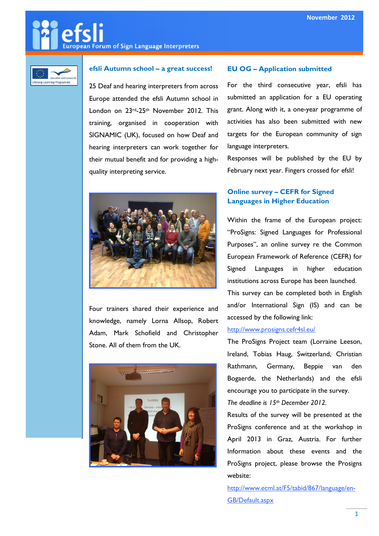# European Forum of Sign Language Interpreters



## efsli Autumn school – a great success!

25 Deaf and hearing interpreters from across Europe attended the efsli Autumn school in London on 23rd-25th November 2012. This training, organised in cooperation with SIGNAMIC (UK), focused on how Deaf and hearing interpreters can work together for their mutual benefit and for providing a highquality interpreting service.



Four trainers shared their experience and knowledge, namely Lorna Allsop, Robert Adam, Mark Schofield and Christopher Stone. All of them from the UK.



### EU OG – Application submitted

For the third consecutive year, efsli has submitted an application for a EU operating grant. Along with it, a one-year programme of activities has also been submitted with new targets for the European community of sign language interpreters.

Responses will be published by the EU by February next year. Fingers crossed for efsli!

## Online survey – CEFR for Signed Languages in Higher Education

Within the frame of the European project: "ProSigns: Signed Languages for Professional Purposes", an online survey re the Common European Framework of Reference (CEFR) for Signed Languages in higher education institutions across Europe has been launched.

This survey can be completed both in English and/or International Sign (IS) and can be accessed by the following link:

## http://www.prosigns.cefr4sl.eu/

The ProSigns Project team (Lorraine Leeson, Ireland, Tobias Haug, Switzerland, Christian Rathmann, Germany, Beppie van den Bogaerde, the Netherlands) and the efsli encourage you to participate in the survey.

The deadline is  $15<sup>th</sup>$  December 2012.

Results of the survey will be presented at the ProSigns conference and at the workshop in April 2013 in Graz, Austria. For further Information about these events and the ProSigns project, please browse the Prosigns website:

http://www.ecml.at/F5/tabid/867/language/en-GB/Default.aspx